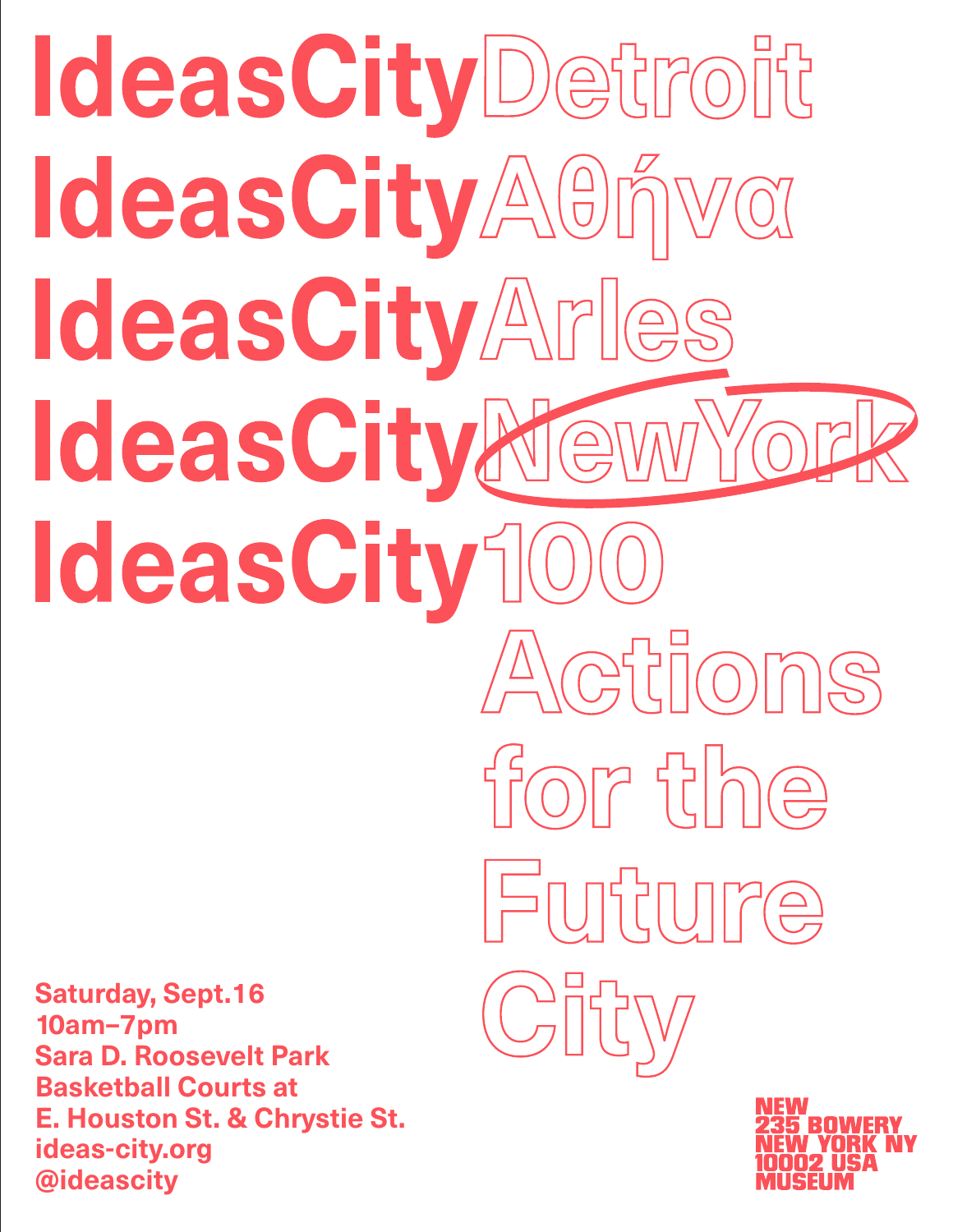# **IdeasCityDetroit** IdeasCityAOnva IdeasCityArles IdeasCityNew IdeasCity10 Actions

**Saturday, Sept.16 10am–7pm Sara D. Roosevelt Park Basketball Courts at E. Houston St. & Chrystie St. ideas-city.org @ideascity**



for the

Future

City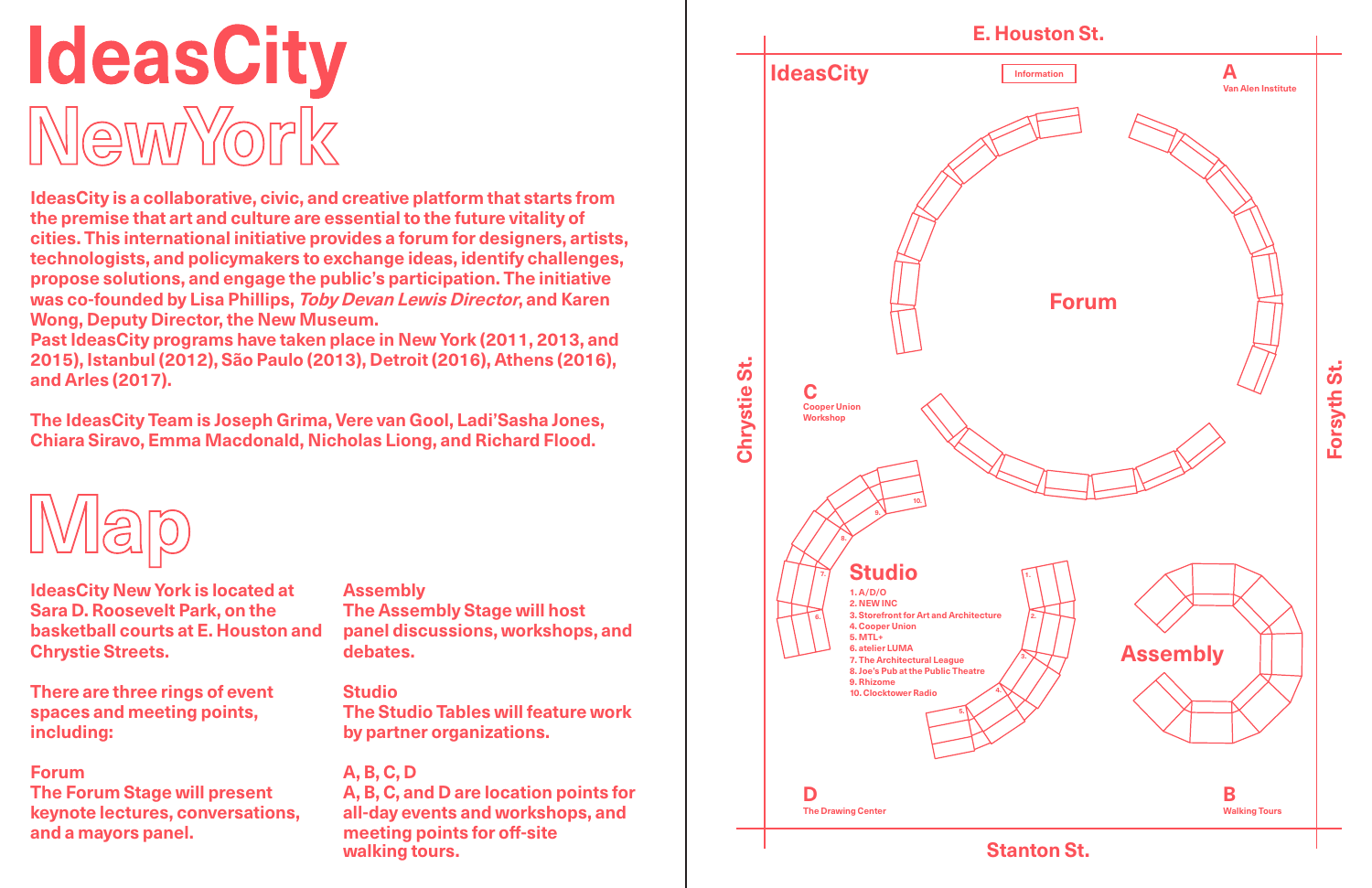**Stanton St.**



# IdeasCity NewYork

**IdeasCity is a collaborative, civic, and creative platform that starts from the premise that art and culture are essential to the future vitality of cities. This international initiative provides a forum for designers, artists, technologists, and policymakers to exchange ideas, identify challenges, propose solutions, and engage the public's participation. The initiative was co-founded by Lisa Phillips, Toby Devan Lewis Director, and Karen Wong, Deputy Director, the New Museum.** 

**Past IdeasCity programs have taken place in New York (2011, 2013, and 2015), Istanbul (2012), São Paulo (2013), Detroit (2016), Athens (2016), and Arles (2017).**

**The IdeasCity Team is Joseph Grima, Vere van Gool, Ladi'Sasha Jones, Chiara Siravo, Emma Macdonald, Nicholas Liong, and Richard Flood.**



**IdeasCity New York is located at Sara D. Roosevelt Park, on the basketball courts at E. Houston and Chrystie Streets.** 

**There are three rings of event spaces and meeting points, including:** 

#### **Forum**

**The Forum Stage will present keynote lectures, conversations, and a mayors panel.** 

#### **Assembly The Assembly Stage will host panel discussions, workshops, and debates.**

**Studio The Studio Tables will feature work by partner organizations.**

#### **A, B, C, D**

**A, B, C, and D are location points for all-day events and workshops, and meeting points for off-site walking tours.**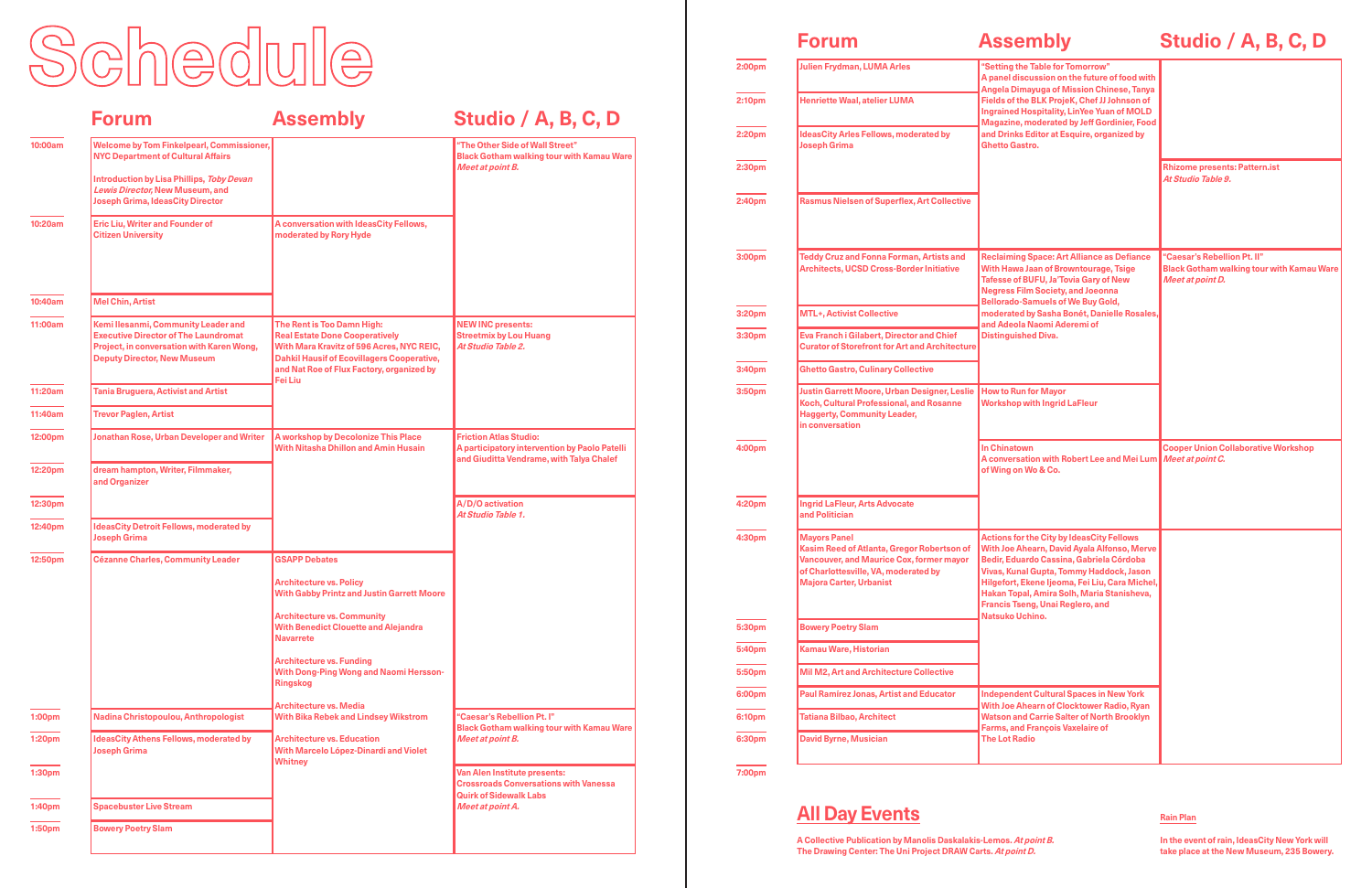## **Forum**

# **Assembly**

# **Studio / A, B, C, D**

**All Day Events**

**A Collective Publication by Manolis Daskalakis-Lemos. At point B. The Drawing Center: The Uni Project DRAW Carts. At point D.**

#### **Rain Plan**

**In the event of rain, IdeasCity New York will take place at the New Museum, 235 Bowery.**

| "Setting the Table for Tomorrow"<br>A panel discussion on the future of food with<br>Angela Dimayuga of Mission Chinese, Tanya<br>Fields of the BLK ProjeK, Chef JJ Johnson of<br><b>Ingrained Hospitality, LinYee Yuan of MOLD</b><br><b>Magazine, moderated by Jeff Gordinier, Food</b><br>and Drinks Editor at Esquire, organized by<br>Ghetto Gastro.    |                                                                                                     |
|--------------------------------------------------------------------------------------------------------------------------------------------------------------------------------------------------------------------------------------------------------------------------------------------------------------------------------------------------------------|-----------------------------------------------------------------------------------------------------|
|                                                                                                                                                                                                                                                                                                                                                              | <b>Rhizome presents: Pattern.ist</b><br>At Studio Table 9.                                          |
| <b>Reclaiming Space: Art Alliance as Defiance</b><br>With Hawa Jaan of Browntourage, Tsige<br><b>Tafesse of BUFU, Ja'Tovia Gary of New</b><br><b>Negress Film Society, and Joeonna</b><br><b>Bellorado-Samuels of We Buy Gold,</b><br>moderated by Sasha Bonét, Danielle Rosales,<br>and Adeola Naomi Aderemi of<br><b>Distinguished Diva.</b>               | "Caesar's Rebellion Pt. II"<br><b>Black Gotham walking tour with Kamau Ware</b><br>Meet at point D. |
| <b>How to Run for Mayor</b><br><b>Workshop with Ingrid LaFleur</b>                                                                                                                                                                                                                                                                                           |                                                                                                     |
| <b>In Chinatown</b><br>A conversation with Robert Lee and Mei Lum<br>of Wing on Wo & Co.                                                                                                                                                                                                                                                                     | <b>Cooper Union Collaborative Workshop</b><br>Meet at point C.                                      |
| <b>Actions for the City by IdeasCity Fellows</b><br>With Joe Ahearn, David Ayala Alfonso, Merve<br>Bedir, Eduardo Cassina, Gabriela Córdoba<br>Vivas, Kunal Gupta, Tommy Haddock, Jason<br>Hilgefort, Ekene Ijeoma, Fei Liu, Cara Michel,<br>Hakan Topal, Amira Solh, Maria Stanisheva,<br><b>Francis Tseng, Unai Reglero, and</b><br><b>Natsuko Uchino.</b> |                                                                                                     |
| <b>Independent Cultural Spaces in New York</b><br>With Joe Ahearn of Clocktower Radio, Ryan<br><b>Watson and Carrie Salter of North Brooklyn</b><br><b>Farms, and François Vaxelaire of</b><br><b>The Lot Radio</b>                                                                                                                                          |                                                                                                     |

# Schedule

|                    | <b>Forum</b>                                                                                                                                                                                                             | <b>Assembly</b>                                                                                                                                                                                                                      | Studio / A, B, C, D                                                                                                        |
|--------------------|--------------------------------------------------------------------------------------------------------------------------------------------------------------------------------------------------------------------------|--------------------------------------------------------------------------------------------------------------------------------------------------------------------------------------------------------------------------------------|----------------------------------------------------------------------------------------------------------------------------|
| 10:00am            | <b>Welcome by Tom Finkelpearl, Commissioner,</b><br><b>NYC Department of Cultural Affairs</b><br>Introduction by Lisa Phillips, Toby Devan<br>Lewis Director, New Museum, and<br><b>Joseph Grima, IdeasCity Director</b> |                                                                                                                                                                                                                                      | "The Other Side of Wall Street"<br><b>Black Gotham walking tour with Kamau Ware</b><br>Meet at point B.                    |
| 10:20am            | <b>Eric Liu, Writer and Founder of</b><br><b>Citizen University</b>                                                                                                                                                      | A conversation with IdeasCity Fellows,<br>moderated by Rory Hyde                                                                                                                                                                     |                                                                                                                            |
| 10:40am            | <b>Mel Chin, Artist</b>                                                                                                                                                                                                  |                                                                                                                                                                                                                                      |                                                                                                                            |
| 11:00am            | Kemi Ilesanmi, Community Leader and<br><b>Executive Director of The Laundromat</b><br>Project, in conversation with Karen Wong,<br><b>Deputy Director, New Museum</b>                                                    | The Rent is Too Damn High:<br><b>Real Estate Done Cooperatively</b><br>With Mara Kravitz of 596 Acres, NYC REIC,<br><b>Dahkil Hausif of Ecovillagers Cooperative,</b><br>and Nat Roe of Flux Factory, organized by<br><b>Fei Liu</b> | <b>NEW INC presents:</b><br><b>Streetmix by Lou Huang</b><br>At Studio Table 2.                                            |
| 11:20am            | <b>Tania Bruguera, Activist and Artist</b>                                                                                                                                                                               |                                                                                                                                                                                                                                      |                                                                                                                            |
| 11:40am            | <b>Trevor Paglen, Artist</b>                                                                                                                                                                                             |                                                                                                                                                                                                                                      |                                                                                                                            |
| 12:00pm            | <b>Jonathan Rose, Urban Developer and Writer</b>                                                                                                                                                                         | A workshop by Decolonize This Place<br><b>With Nitasha Dhillon and Amin Husain</b>                                                                                                                                                   | <b>Friction Atlas Studio:</b><br>A participatory intervention by Paolo Patelli<br>and Giuditta Vendrame, with Talya Chalef |
| 12:20pm            | dream hampton, Writer, Filmmaker,<br>and Organizer                                                                                                                                                                       |                                                                                                                                                                                                                                      |                                                                                                                            |
| 12:30pm            |                                                                                                                                                                                                                          |                                                                                                                                                                                                                                      | A/D/O activation<br>At Studio Table 1.                                                                                     |
| 12:40pm            | <b>IdeasCity Detroit Fellows, moderated by</b><br><b>Joseph Grima</b>                                                                                                                                                    |                                                                                                                                                                                                                                      |                                                                                                                            |
| 12:50pm            | <b>Cézanne Charles, Community Leader</b>                                                                                                                                                                                 | <b>GSAPP Debates</b>                                                                                                                                                                                                                 |                                                                                                                            |
|                    |                                                                                                                                                                                                                          | <b>Architecture vs. Policy</b><br><b>With Gabby Printz and Justin Garrett Moore</b>                                                                                                                                                  |                                                                                                                            |
|                    |                                                                                                                                                                                                                          | <b>Architecture vs. Community</b><br><b>With Benedict Clouette and Alejandra</b><br><b>Navarrete</b>                                                                                                                                 |                                                                                                                            |
|                    |                                                                                                                                                                                                                          | <b>Architecture vs. Funding</b><br><b>With Dong-Ping Wong and Naomi Hersson-</b><br><b>Ringskog</b>                                                                                                                                  |                                                                                                                            |
| 1:00pm             | Nadina Christopoulou, Anthropologist                                                                                                                                                                                     | <b>Architecture vs. Media</b><br><b>With Bika Rebek and Lindsey Wikstrom</b>                                                                                                                                                         | "Caesar's Rebellion Pt. I"                                                                                                 |
| 1:20pm             | <b>IdeasCity Athens Fellows, moderated by</b><br><b>Joseph Grima</b>                                                                                                                                                     | <b>Architecture vs. Education</b><br>With Marcelo López-Dinardi and Violet<br><b>Whitney</b>                                                                                                                                         | <b>Black Gotham walking tour with Kamau Ware</b><br>Meet at point B.                                                       |
| 1:30 <sub>pm</sub> |                                                                                                                                                                                                                          |                                                                                                                                                                                                                                      | Van Alen Institute presents:<br><b>Crossroads Conversations with Vanessa</b><br><b>Quirk of Sidewalk Labs</b>              |
| 1:40 <sub>pm</sub> | <b>Spacebuster Live Stream</b>                                                                                                                                                                                           |                                                                                                                                                                                                                                      | Meet at point A.                                                                                                           |
| 1:50 <sub>pm</sub> | <b>Bowery Poetry Slam</b>                                                                                                                                                                                                |                                                                                                                                                                                                                                      |                                                                                                                            |

| 2:00pm | <b>Julien Frydman, LUMA Arles</b>                                                                                                                                                       | "Setting the T<br>A panel discu:<br><b>Angela Dimay</b><br><b>Fields of the B</b><br><b>Ingrained Hos</b><br><b>Magazine</b> , mo<br>and Drinks Ed<br><b>Ghetto Gastro</b>      |  |
|--------|-----------------------------------------------------------------------------------------------------------------------------------------------------------------------------------------|---------------------------------------------------------------------------------------------------------------------------------------------------------------------------------|--|
| 2:10pm | <b>Henriette Waal, atelier LUMA</b>                                                                                                                                                     |                                                                                                                                                                                 |  |
| 2:20pm | <b>IdeasCity Arles Fellows, moderated by</b><br><b>Joseph Grima</b>                                                                                                                     |                                                                                                                                                                                 |  |
| 2:30pm |                                                                                                                                                                                         |                                                                                                                                                                                 |  |
| 2:40pm | <b>Rasmus Nielsen of Superflex, Art Collective</b>                                                                                                                                      |                                                                                                                                                                                 |  |
| 3:00pm | <b>Teddy Cruz and Fonna Forman, Artists and</b><br><b>Architects, UCSD Cross-Border Initiative</b>                                                                                      | <b>Reclaiming Sp</b><br>With Hawa Jaa<br><b>Tafesse of BU</b><br><b>Negress Film</b><br><b>Bellorado-Sar</b><br>moderated by<br>and Adeola Na<br><b>Distinguished</b>           |  |
| 3:20pm | <b>MTL+, Activist Collective</b>                                                                                                                                                        |                                                                                                                                                                                 |  |
| 3:30pm | <b>Eva Franch i Gilabert, Director and Chief</b><br><b>Curator of Storefront for Art and Architecture</b>                                                                               |                                                                                                                                                                                 |  |
| 3:40pm | <b>Ghetto Gastro, Culinary Collective</b>                                                                                                                                               |                                                                                                                                                                                 |  |
| 3:50pm | <b>Justin Garrett Moore, Urban Designer, Leslie</b><br>Koch, Cultural Professional, and Rosanne<br><b>Haggerty, Community Leader,</b><br>in conversation                                | <b>How to Run fo</b><br>Workshop wit                                                                                                                                            |  |
| 4:00pm |                                                                                                                                                                                         | <b>In Chinatown</b><br>A conversatio<br>of Wing on Wo                                                                                                                           |  |
| 4:20pm | <b>Ingrid LaFleur, Arts Advocate</b><br>and Politician                                                                                                                                  |                                                                                                                                                                                 |  |
| 4:30pm | <b>Mayors Panel</b><br>Kasim Reed of Atlanta, Gregor Robertson of<br>Vancouver, and Maurice Cox, former mayor<br>of Charlottesville, VA, moderated by<br><b>Majora Carter, Urbanist</b> | <b>Actions for th</b><br><b>With Joe Ahea</b><br><b>Bedir, Eduard</b><br><b>Vivas, Kunal G</b><br><b>Hilgefort, Eke</b><br>Hakan Topal,<br><b>Francis Tseng</b><br>Natsuko Uchi |  |
| 5:30pm | <b>Bowery Poetry Slam</b>                                                                                                                                                               |                                                                                                                                                                                 |  |
| 5:40pm | Kamau Ware, Historian                                                                                                                                                                   |                                                                                                                                                                                 |  |
| 5:50pm | <b>Mil M2, Art and Architecture Collective</b>                                                                                                                                          |                                                                                                                                                                                 |  |
| 6:00pm | <b>Paul Ramírez Jonas, Artist and Educator</b>                                                                                                                                          | Independent<br><b>With Joe Ahea</b><br><b>Watson and C</b><br>Farms, and Fr<br><b>The Lot Radio</b>                                                                             |  |
| 6:10pm | <b>Tatiana Bilbao, Architect</b>                                                                                                                                                        |                                                                                                                                                                                 |  |
| 6:30pm | <b>David Byrne, Musician</b>                                                                                                                                                            |                                                                                                                                                                                 |  |
| 7:00pm |                                                                                                                                                                                         |                                                                                                                                                                                 |  |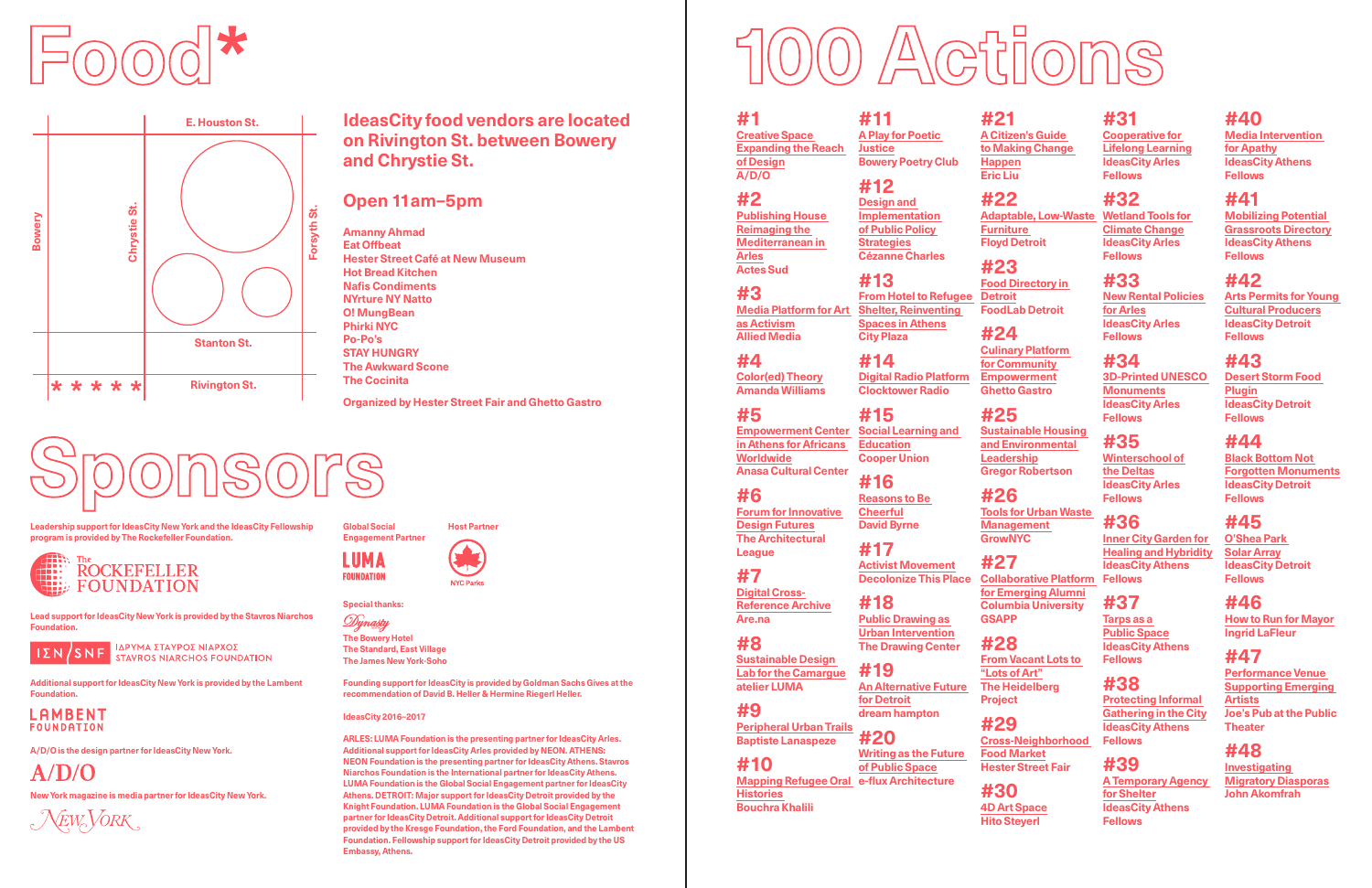**#1 Creative Space Expanding the Reach of Design A/D/O**

**#2 Publishing House Reimaging the Mediterranean in Arles Actes Sud**

**#3**

**Media Platform for Art as Activism Allied Media**

**#4**

**Amanda Williams** 

**#5**

**Empowerment Center** 

**#6 Forum for Innovative Design Futures The Architectural League**

**#7** 

**Digital Cross-Reference Archive Are.na**

**#8 Sustainable Design Lab for the Camargue atelier LUMA**

**#9**

**Color(ed) Theory #14**

**Peripheral Urban Trails Baptiste Lanaspeze**

**#10**

**Histories Bouchra Khalili**

**in Athens for Africans Worldwide Anasa Cultural Center #16 Reasons to Be** 

**#11 A Play for Poetic Justice Bowery Poetry Club**

**#12 Design and** 

**Implementation of Public Policy Strategies Cézanne Charles**

**#13**

**From Hotel to Refugee Shelter, Reinventing Spaces in Athens**

**City Plaza**

**Digital Radio Platform Clocktower Radio**

**Mapping Refugee Oral e-flux Architecture**

**#15 Social Learning and Education Cooper Union**

**Cheerful David Byrne #17**

**Activist Movement Decolonize This Place**

**#18**

**Public Drawing as Urban Intervention**

**The Drawing Center #19**

**An Alternative Future for Detroit dream hampton**

**#20**

**of Public Space**

**#21 A Citizen's Guide to Making Change** 

**Happen Eric Liu**

> **#22 Furniture Floyd Detroit**

**#23 Food Directory in Detroit FoodLab Detroit**

#### **#24**

**Culinary Platform for Community Empowerment Ghetto Gastro**

**Writing as the Future #29**

#### **#25**

**Sustainable Housing and Environmental Leadership Gregor Robertson**

## **#26**

**Tools for Urban Waste Management GrowNYC**

## **#27**

**Adaptable, Low-Waste Wetland Tools for #32 Climate Change IdeasCity Arles Fellows**

**Collaborative Platform for Emerging Alumni Columbia University GSAPP**

#### **#28**

**From Vacant Lots to "Lots of Art" The Heidelberg Project**

**Cross-Neighborhood Food Market Hester Street Fair** 

**#30**

**4D Art Space Hito Steyerl**

**#31 Cooperative for Lifelong Learning IdeasCity Arles Fellows**

**#33 New Rental Policies for Arles IdeasCity Arles Fellows**

**#34 3D-Printed UNESCO Monuments IdeasCity Arles Fellows**

**#35 Winterschool of the Deltas IdeasCity Arles Fellows**

**#36 Inner City Garden for Healing and Hybridity IdeasCity Athens Fellows**

#### **#37 Tarps as a**

**Public Space IdeasCity Athens Fellows**

**#38 Protecting Informal Gathering in the City IdeasCity Athens Fellows**

Dynasty **The Bowery Hotel The Standard, East Village The James New York-Soho**

#### **#39 A Temporary Agency for Shelter IdeasCity Athens Fellows**

# **#40**

**Media Intervention for Apathy IdeasCity Athens Fellows**

# **#41**

**Mobilizing Potential Grassroots Directory IdeasCity Athens Fellows**

# **#42**

**Arts Permits for Young Cultural Producers IdeasCity Detroit Fellows**

# **#43**

**Desert Storm Food Plugin IdeasCity Detroit Fellows**

# **#44**

**Black Bottom Not Forgotten Monuments IdeasCity Detroit Fellows**

# **#45**

**O'Shea Park Solar Array IdeasCity Detroit Fellows**

# **#46**

**How to Run for Mayor Ingrid LaFleur**

# **#47**

**Performance Venue Supporting Emerging Artists Joe's Pub at the Public Theater**

# **#48**

**Investigating Migratory Diasporas John Akomfrah**

**Founding support for IdeasCity is provided by Goldman Sachs Gives at the recommendation of David B. Heller & Hermine Riegerl Heller.** 

#### **IdeasCity 2016–2017**

**ARLES: LUMA Foundation is the presenting partner for IdeasCity Arles. Additional support for IdeasCity Arles provided by NEON. ATHENS: NEON Foundation is the presenting partner for IdeasCity Athens. Stavros Niarchos Foundation is the International partner for IdeasCity Athens. LUMA Foundation is the Global Social Engagement partner for IdeasCity Athens. DETROIT: Major support for IdeasCity Detroit provided by the Knight Foundation. LUMA Foundation is the Global Social Engagement partner for IdeasCity Detroit. Additional support for IdeasCity Detroit provided by the Kresge Foundation, the Ford Foundation, and the Lambent Foundation. Fellowship support for IdeasCity Detroit provided by the US Embassy, Athens.** 



#### **IdeasCity food vendors are located on Rivington St. between Bowery and Chrystie St.**

#### **Open 11am–5pm**

**Amanny Ahmad Eat Offbeat Hester Street Café at New Museum Hot Bread Kitchen Nafis Condiments NYrture NY Natto O! MungBean Phirki NYC Po-Po's STAY HUNGRY The Awkward Scone The Cocinita**

**Organized by Hester Street Fair and Ghetto Gastro** 





**Leadership support for IdeasCity New York and the IdeasCity Fellowship program is provided by The Rockefeller Foundation.** 



**New York magazine is media partner for IdeasCity New York.** 

 $\mathcal{N}_{EW}$ VORK

**Global Social Engagement Partner**

**Host Partner**



**Special thanks:** 

**LUMA** 

**FOUNDATION** 

**Lead support for IdeasCity New York is provided by the Stavros Niarchos Foundation.**

**IZN/SNF BAPYMA ETAYPOE NIAPXOE STAVROS NIARCHOS FOUNDATION** 

**Additional support for IdeasCity New York is provided by the Lambent Foundation.** 



**A/D/O is the design partner for IdeasCity New York.** 

 $A/D/O$